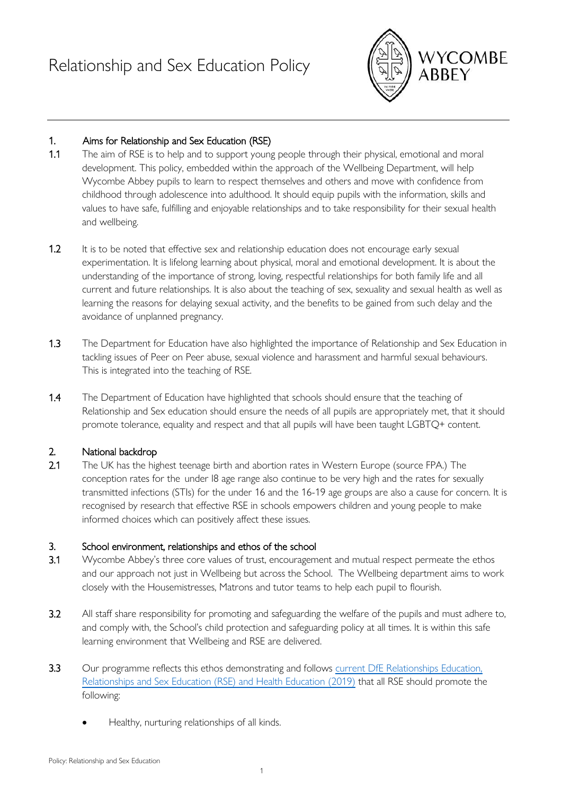

## 1. Aims for Relationship and Sex Education (RSE)

- 1.1 The aim of RSE is to help and to support young people through their physical, emotional and moral development. This policy, embedded within the approach of the Wellbeing Department, will help Wycombe Abbey pupils to learn to respect themselves and others and move with confidence from childhood through adolescence into adulthood. It should equip pupils with the information, skills and values to have safe, fulfilling and enjoyable relationships and to take responsibility for their sexual health and wellbeing.
- 1.2 It is to be noted that effective sex and relationship education does not encourage early sexual experimentation. It is lifelong learning about physical, moral and emotional development. It is about the understanding of the importance of strong, loving, respectful relationships for both family life and all current and future relationships. It is also about the teaching of sex, sexuality and sexual health as well as learning the reasons for delaying sexual activity, and the benefits to be gained from such delay and the avoidance of unplanned pregnancy.
- 1.3 The Department for Education have also highlighted the importance of Relationship and Sex Education in tackling issues of Peer on Peer abuse, sexual violence and harassment and harmful sexual behaviours. This is integrated into the teaching of RSE.
- 1.4 The Department of Education have highlighted that schools should ensure that the teaching of Relationship and Sex education should ensure the needs of all pupils are appropriately met, that it should promote tolerance, equality and respect and that all pupils will have been taught LGBTQ+ content.

## 2. National backdrop

2.1 The UK has the highest teenage birth and abortion rates in Western Europe (source FPA.) The conception rates for the under I8 age range also continue to be very high and the rates for sexually transmitted infections (STIs) for the under 16 and the 16-19 age groups are also a cause for concern. It is recognised by research that effective RSE in schools empowers children and young people to make informed choices which can positively affect these issues.

## 3. School environment, relationships and ethos of the school

- 3.1 Wycombe Abbey's three core values of trust, encouragement and mutual respect permeate the ethos and our approach not just in Wellbeing but across the School. The Wellbeing department aims to work closely with the Housemistresses, Matrons and tutor teams to help each pupil to flourish.
- 3.2 All staff share responsibility for promoting and safeguarding the welfare of the pupils and must adhere to, and comply with, the School's child protection and safeguarding policy at all times. It is within this safe learning environment that Wellbeing and RSE are delivered.
- 3.3 Our programme reflects this ethos demonstrating and follows current DfE Relationships Education, [Relationships and Sex Education \(RSE\) and Health Education](https://assets.publishing.service.gov.uk/government/uploads/system/uploads/attachment_data/file/805781/Relationships_Education__Relationships_and_Sex_Education__RSE__and_Health_Education.pdf) (2019) that all RSE should promote the following:
	- Healthy, nurturing relationships of all kinds.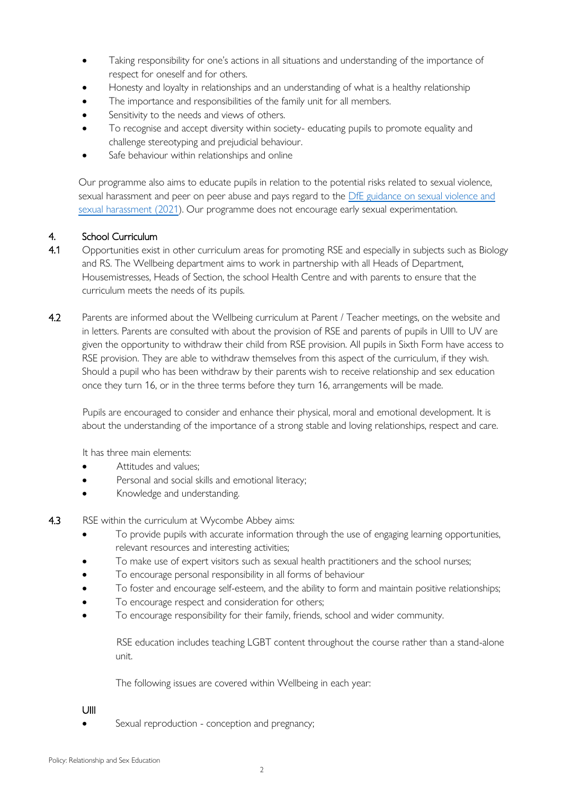- Taking responsibility for one's actions in all situations and understanding of the importance of respect for oneself and for others.
- Honesty and loyalty in relationships and an understanding of what is a healthy relationship
- The importance and responsibilities of the family unit for all members.
- Sensitivity to the needs and views of others.
- To recognise and accept diversity within society- educating pupils to promote equality and challenge stereotyping and prejudicial behaviour.
- Safe behaviour within relationships and online

Our programme also aims to educate pupils in relation to the potential risks related to sexual violence, sexual harassment and peer on peer abuse and pays regard to the DfE guidance on sexual violence and [sexual harassment \(2021\)](https://assets.publishing.service.gov.uk/government/uploads/system/uploads/attachment_data/file/999239/SVSH_2021.pdf). Our programme does not encourage early sexual experimentation.

#### 4. School Curriculum

- 4.1 Opportunities exist in other curriculum areas for promoting RSE and especially in subjects such as Biology and RS. The Wellbeing department aims to work in partnership with all Heads of Department, Housemistresses, Heads of Section, the school Health Centre and with parents to ensure that the curriculum meets the needs of its pupils.
- 4.2 Parents are informed about the Wellbeing curriculum at Parent / Teacher meetings, on the website and in letters. Parents are consulted with about the provision of RSE and parents of pupils in UIII to UV are given the opportunity to withdraw their child from RSE provision. All pupils in Sixth Form have access to RSE provision. They are able to withdraw themselves from this aspect of the curriculum, if they wish. Should a pupil who has been withdraw by their parents wish to receive relationship and sex education once they turn 16, or in the three terms before they turn 16, arrangements will be made.

Pupils are encouraged to consider and enhance their physical, moral and emotional development. It is about the understanding of the importance of a strong stable and loving relationships, respect and care.

It has three main elements:

- Attitudes and values:
- Personal and social skills and emotional literacy;
- Knowledge and understanding.
- 4.3 RSE within the curriculum at Wycombe Abbey aims:
	- To provide pupils with accurate information through the use of engaging learning opportunities, relevant resources and interesting activities;
	- To make use of expert visitors such as sexual health practitioners and the school nurses;
	- To encourage personal responsibility in all forms of behaviour
	- To foster and encourage self-esteem, and the ability to form and maintain positive relationships;
	- To encourage respect and consideration for others;
	- To encourage responsibility for their family, friends, school and wider community.

RSE education includes teaching LGBT content throughout the course rather than a stand-alone unit.

The following issues are covered within Wellbeing in each year:

#### UIII

Sexual reproduction - conception and pregnancy;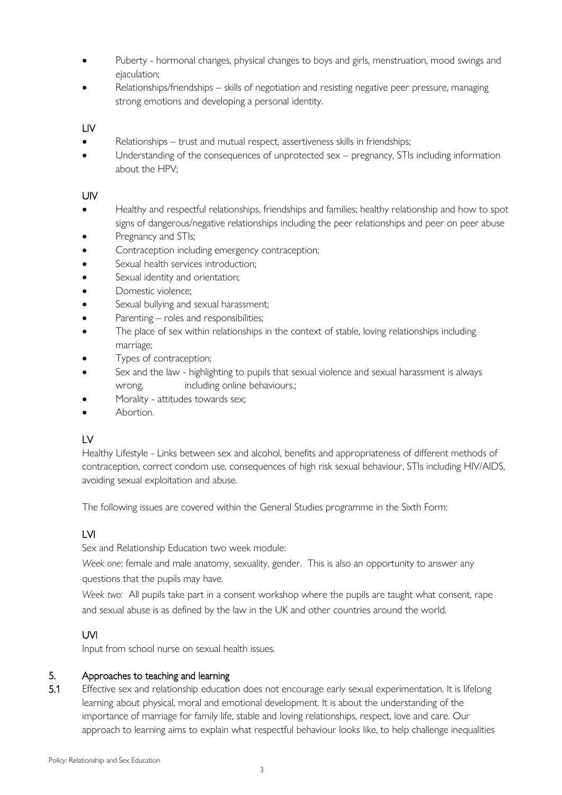- Puberty hormonal changes, physical changes to boys and girls, menstruation, mood swings and ejaculation;
- Relationships/friendships skills of negotiation and resisting negative peer pressure, managing strong emotions and developing a personal identity.

### LIV

- Relationships trust and mutual respect, assertiveness skills in friendships;
- Understanding of the consequences of unprotected sex pregnancy, STIs including information about the HPV;

#### UIV

- Healthy and respectful relationships, friendships and families; healthy relationship and how to spot signs of dangerous/negative relationships including the peer relationships and peer on peer abuse
- Pregnancy and STIs;
- Contraception including emergency contraception;
- Sexual health services introduction;
- Sexual identity and orientation;
- Domestic violence;
- Sexual bullying and sexual harassment;
- Parenting roles and responsibilities;
- The place of sex within relationships in the context of stable, loving relationships including marriage;
- Types of contraception;
- Sex and the law highlighting to pupils that sexual violence and sexual harassment is always wrong, including online behaviours.;
- Morality attitudes towards sex;
- Abortion.

## LV

Healthy Lifestyle - Links between sex and alcohol, benefits and appropriateness of different methods of contraception, correct condom use, consequences of high risk sexual behaviour, STIs including HIV/AIDS, avoiding sexual exploitation and abuse.

The following issues are covered within the General Studies programme in the Sixth Form:

# LVI

Sex and Relationship Education two week module:

*Week one:* female and male anatomy, sexuality, gender. This is also an opportunity to answer any questions that the pupils may have.

*Week two:* All pupils take part in a consent workshop where the pupils are taught what consent, rape and sexual abuse is as defined by the law in the UK and other countries around the world.

## UVI

Input from school nurse on sexual health issues.

#### 5. Approaches to teaching and learning

5.1 Effective sex and relationship education does not encourage early sexual experimentation. It is lifelong learning about physical, moral and emotional development. It is about the understanding of the importance of marriage for family life, stable and loving relationships, respect, love and care. Our approach to learning aims to explain what respectful behaviour looks like, to help challenge inequalities